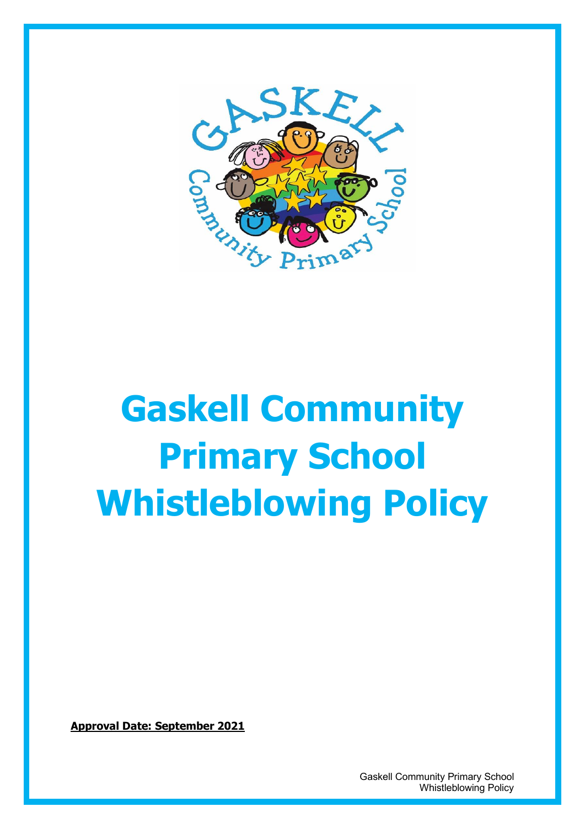

# **Gaskell Community Primary School Whistleblowing Policy**

**Approval Date: September 2021**

 Gaskell Community Primary School Whistleblowing Policy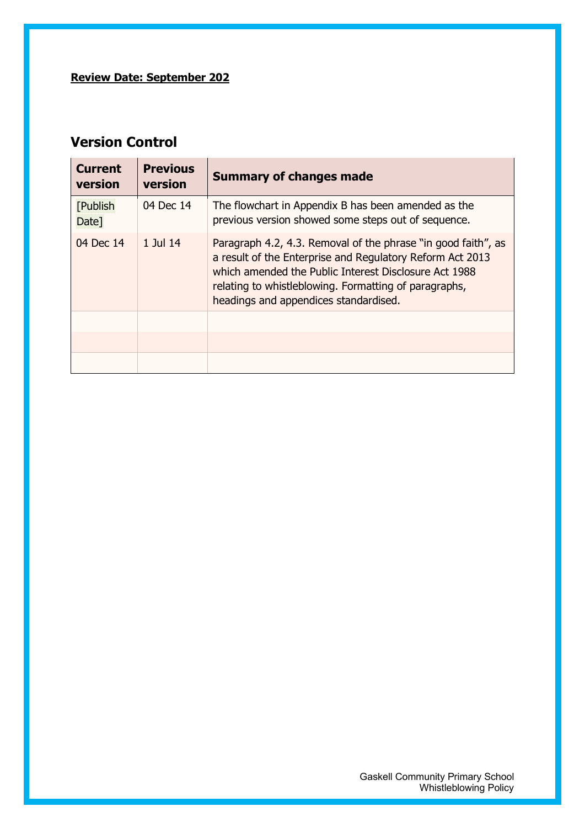#### **Review Date: September 202**

#### **Version Control**

| <b>Current</b><br>version | <b>Previous</b><br>version | <b>Summary of changes made</b>                                                                                                                                                                                                                                                        |  |  |  |
|---------------------------|----------------------------|---------------------------------------------------------------------------------------------------------------------------------------------------------------------------------------------------------------------------------------------------------------------------------------|--|--|--|
| <b>[Publish</b><br>Date]  | 04 Dec 14                  | The flowchart in Appendix B has been amended as the<br>previous version showed some steps out of sequence.                                                                                                                                                                            |  |  |  |
| 04 Dec 14                 | 1 Jul 14                   | Paragraph 4.2, 4.3. Removal of the phrase "in good faith", as<br>a result of the Enterprise and Regulatory Reform Act 2013<br>which amended the Public Interest Disclosure Act 1988<br>relating to whistleblowing. Formatting of paragraphs,<br>headings and appendices standardised. |  |  |  |
|                           |                            |                                                                                                                                                                                                                                                                                       |  |  |  |
|                           |                            |                                                                                                                                                                                                                                                                                       |  |  |  |
|                           |                            |                                                                                                                                                                                                                                                                                       |  |  |  |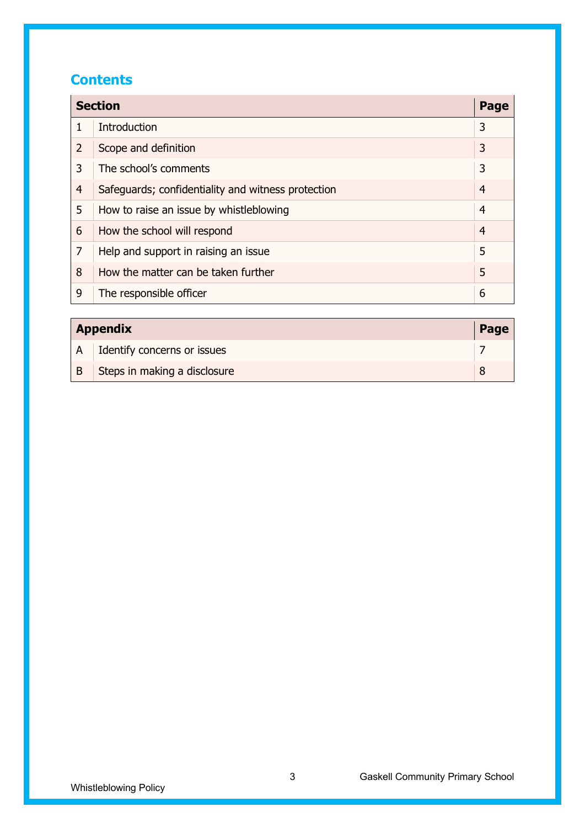#### **Contents**

| <b>Section</b> |                                                    |                |
|----------------|----------------------------------------------------|----------------|
| $\mathbf 1$    | <b>Introduction</b>                                | 3              |
| $\overline{2}$ | Scope and definition                               | 3              |
| 3              | The school's comments                              | 3              |
| $\overline{4}$ | Safeguards; confidentiality and witness protection | 4              |
| 5              | How to raise an issue by whistleblowing            | 4              |
| 6              | How the school will respond                        | $\overline{4}$ |
| 7              | Help and support in raising an issue               | 5              |
| 8              | How the matter can be taken further                | 5              |
| 9              | The responsible officer                            | 6              |

| <b>Appendix</b> |                              |  |
|-----------------|------------------------------|--|
| A               | Identify concerns or issues  |  |
| B               | Steps in making a disclosure |  |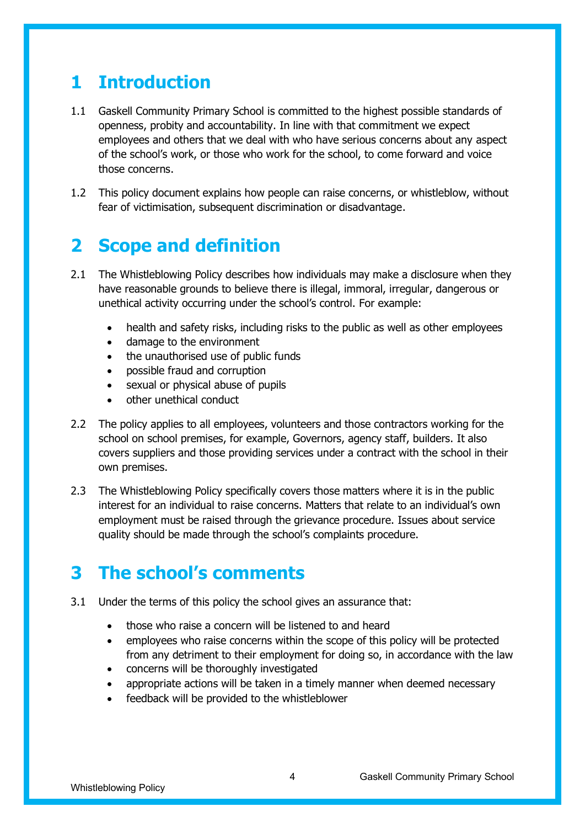#### **1 Introduction**

- 1.1 Gaskell Community Primary School is committed to the highest possible standards of openness, probity and accountability. In line with that commitment we expect employees and others that we deal with who have serious concerns about any aspect of the school's work, or those who work for the school, to come forward and voice those concerns.
- 1.2 This policy document explains how people can raise concerns, or whistleblow, without fear of victimisation, subsequent discrimination or disadvantage.

#### **2 Scope and definition**

- 2.1 The Whistleblowing Policy describes how individuals may make a disclosure when they have reasonable grounds to believe there is illegal, immoral, irregular, dangerous or unethical activity occurring under the school's control. For example:
	- health and safety risks, including risks to the public as well as other employees
	- damage to the environment
	- the unauthorised use of public funds
	- possible fraud and corruption
	- sexual or physical abuse of pupils
	- other unethical conduct
- 2.2 The policy applies to all employees, volunteers and those contractors working for the school on school premises, for example, Governors, agency staff, builders. It also covers suppliers and those providing services under a contract with the school in their own premises.
- 2.3 The Whistleblowing Policy specifically covers those matters where it is in the public interest for an individual to raise concerns. Matters that relate to an individual's own employment must be raised through the grievance procedure. Issues about service quality should be made through the school's complaints procedure.

#### **3 The school's comments**

- 3.1 Under the terms of this policy the school gives an assurance that:
	- those who raise a concern will be listened to and heard
	- employees who raise concerns within the scope of this policy will be protected from any detriment to their employment for doing so, in accordance with the law
	- concerns will be thoroughly investigated
	- appropriate actions will be taken in a timely manner when deemed necessary
	- feedback will be provided to the whistleblower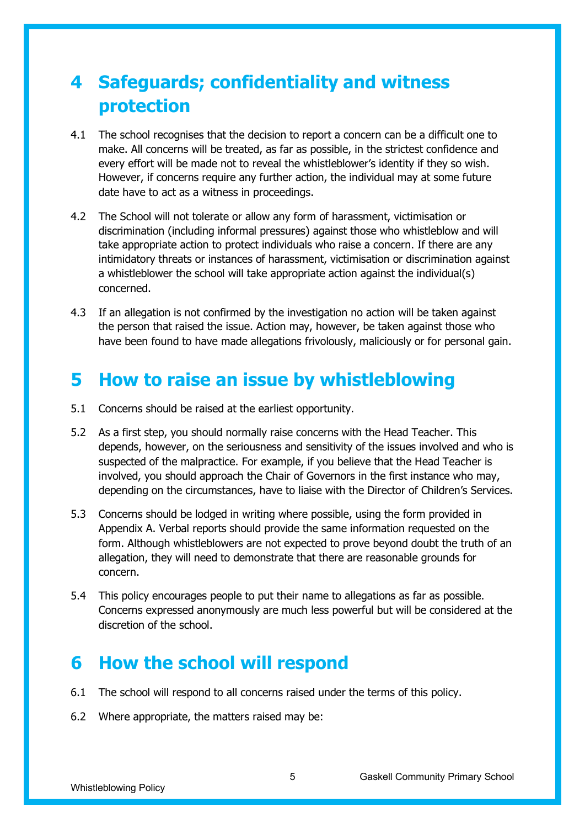### **4 Safeguards; confidentiality and witness protection**

- 4.1 The school recognises that the decision to report a concern can be a difficult one to make. All concerns will be treated, as far as possible, in the strictest confidence and every effort will be made not to reveal the whistleblower's identity if they so wish. However, if concerns require any further action, the individual may at some future date have to act as a witness in proceedings.
- 4.2 The School will not tolerate or allow any form of harassment, victimisation or discrimination (including informal pressures) against those who whistleblow and will take appropriate action to protect individuals who raise a concern. If there are any intimidatory threats or instances of harassment, victimisation or discrimination against a whistleblower the school will take appropriate action against the individual(s) concerned.
- 4.3 If an allegation is not confirmed by the investigation no action will be taken against the person that raised the issue. Action may, however, be taken against those who have been found to have made allegations frivolously, maliciously or for personal gain.

#### **5 How to raise an issue by whistleblowing**

- 5.1 Concerns should be raised at the earliest opportunity.
- 5.2 As a first step, you should normally raise concerns with the Head Teacher. This depends, however, on the seriousness and sensitivity of the issues involved and who is suspected of the malpractice. For example, if you believe that the Head Teacher is involved, you should approach the Chair of Governors in the first instance who may, depending on the circumstances, have to liaise with the Director of Children's Services.
- 5.3 Concerns should be lodged in writing where possible, using the form provided in Appendix A. Verbal reports should provide the same information requested on the form. Although whistleblowers are not expected to prove beyond doubt the truth of an allegation, they will need to demonstrate that there are reasonable grounds for concern.
- 5.4 This policy encourages people to put their name to allegations as far as possible. Concerns expressed anonymously are much less powerful but will be considered at the discretion of the school.

#### **6 How the school will respond**

- 6.1 The school will respond to all concerns raised under the terms of this policy.
- 6.2 Where appropriate, the matters raised may be: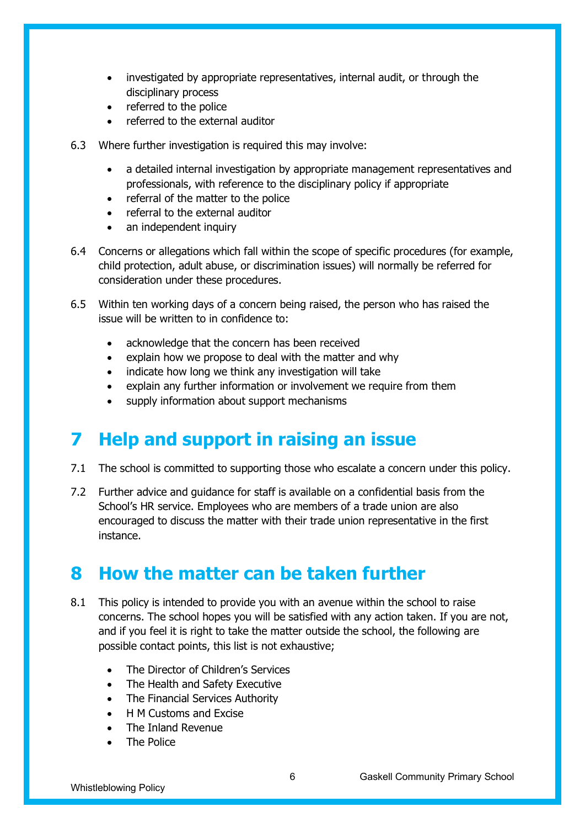- investigated by appropriate representatives, internal audit, or through the disciplinary process
- referred to the police
- referred to the external auditor
- 6.3 Where further investigation is required this may involve:
	- a detailed internal investigation by appropriate management representatives and professionals, with reference to the disciplinary policy if appropriate
	- referral of the matter to the police
	- referral to the external auditor
	- an independent inquiry
- 6.4 Concerns or allegations which fall within the scope of specific procedures (for example, child protection, adult abuse, or discrimination issues) will normally be referred for consideration under these procedures.
- 6.5 Within ten working days of a concern being raised, the person who has raised the issue will be written to in confidence to:
	- acknowledge that the concern has been received
	- explain how we propose to deal with the matter and why
	- indicate how long we think any investigation will take
	- explain any further information or involvement we require from them
	- supply information about support mechanisms

#### **7 Help and support in raising an issue**

- 7.1 The school is committed to supporting those who escalate a concern under this policy.
- 7.2 Further advice and guidance for staff is available on a confidential basis from the School's HR service. Employees who are members of a trade union are also encouraged to discuss the matter with their trade union representative in the first instance.

#### **8 How the matter can be taken further**

- 8.1 This policy is intended to provide you with an avenue within the school to raise concerns. The school hopes you will be satisfied with any action taken. If you are not, and if you feel it is right to take the matter outside the school, the following are possible contact points, this list is not exhaustive;
	- The Director of Children's Services
	- The Health and Safety Executive
	- The Financial Services Authority
	- H M Customs and Excise
	- The Inland Revenue
	- The Police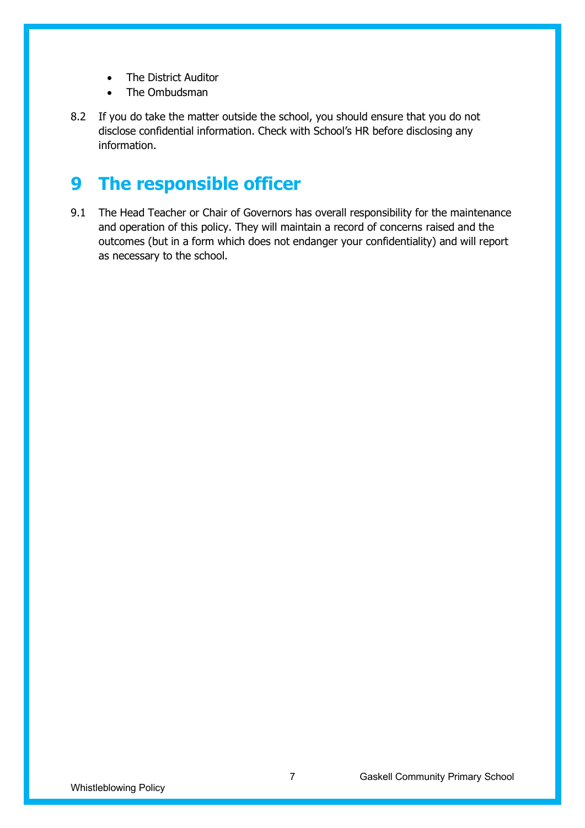- The District Auditor
- The Ombudsman
- 8.2 If you do take the matter outside the school, you should ensure that you do not disclose confidential information. Check with School's HR before disclosing any information.

#### **9 The responsible officer**

9.1 The Head Teacher or Chair of Governors has overall responsibility for the maintenance and operation of this policy. They will maintain a record of concerns raised and the outcomes (but in a form which does not endanger your confidentiality) and will report as necessary to the school.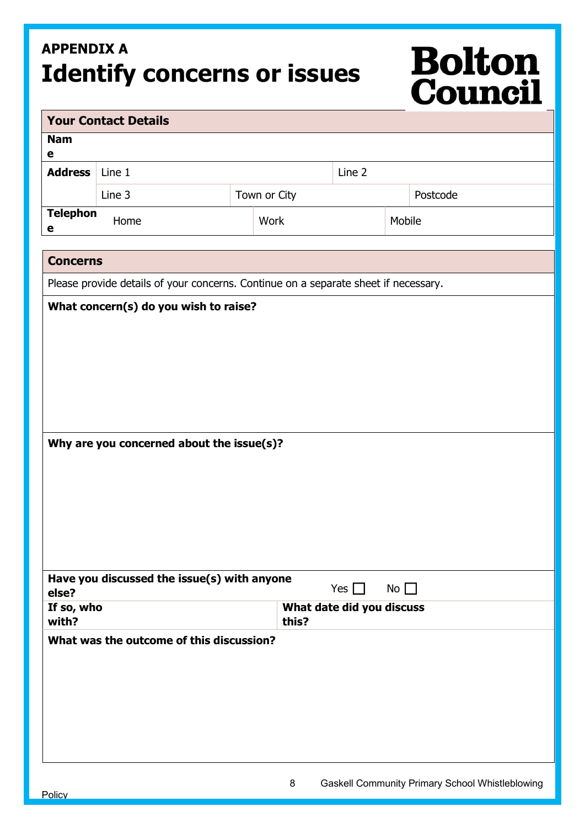## **APPENDIX A Identify concerns or issues**

# **Bolton<br>Council**

| <b>Your Contact Details</b>                                                         |                                                                          |  |              |            |  |          |  |  |  |  |
|-------------------------------------------------------------------------------------|--------------------------------------------------------------------------|--|--------------|------------|--|----------|--|--|--|--|
| <b>Nam</b><br>e                                                                     |                                                                          |  |              |            |  |          |  |  |  |  |
| <b>Address</b>                                                                      | Line 1                                                                   |  |              | Line 2     |  |          |  |  |  |  |
|                                                                                     | Line 3                                                                   |  | Town or City |            |  | Postcode |  |  |  |  |
| <b>Telephon</b><br>e                                                                | Home                                                                     |  | Work         | Mobile     |  |          |  |  |  |  |
| <b>Concerns</b>                                                                     |                                                                          |  |              |            |  |          |  |  |  |  |
| Please provide details of your concerns. Continue on a separate sheet if necessary. |                                                                          |  |              |            |  |          |  |  |  |  |
|                                                                                     |                                                                          |  |              |            |  |          |  |  |  |  |
| Why are you concerned about the issue(s)?                                           |                                                                          |  |              |            |  |          |  |  |  |  |
|                                                                                     | Have you discussed the issue(s) with anyone                              |  |              | Yes $\Box$ |  |          |  |  |  |  |
| with?                                                                               | $No$ $\Box$<br>else?<br>If so, who<br>What date did you discuss<br>this? |  |              |            |  |          |  |  |  |  |
| What was the outcome of this discussion?                                            |                                                                          |  |              |            |  |          |  |  |  |  |
|                                                                                     |                                                                          |  |              |            |  |          |  |  |  |  |